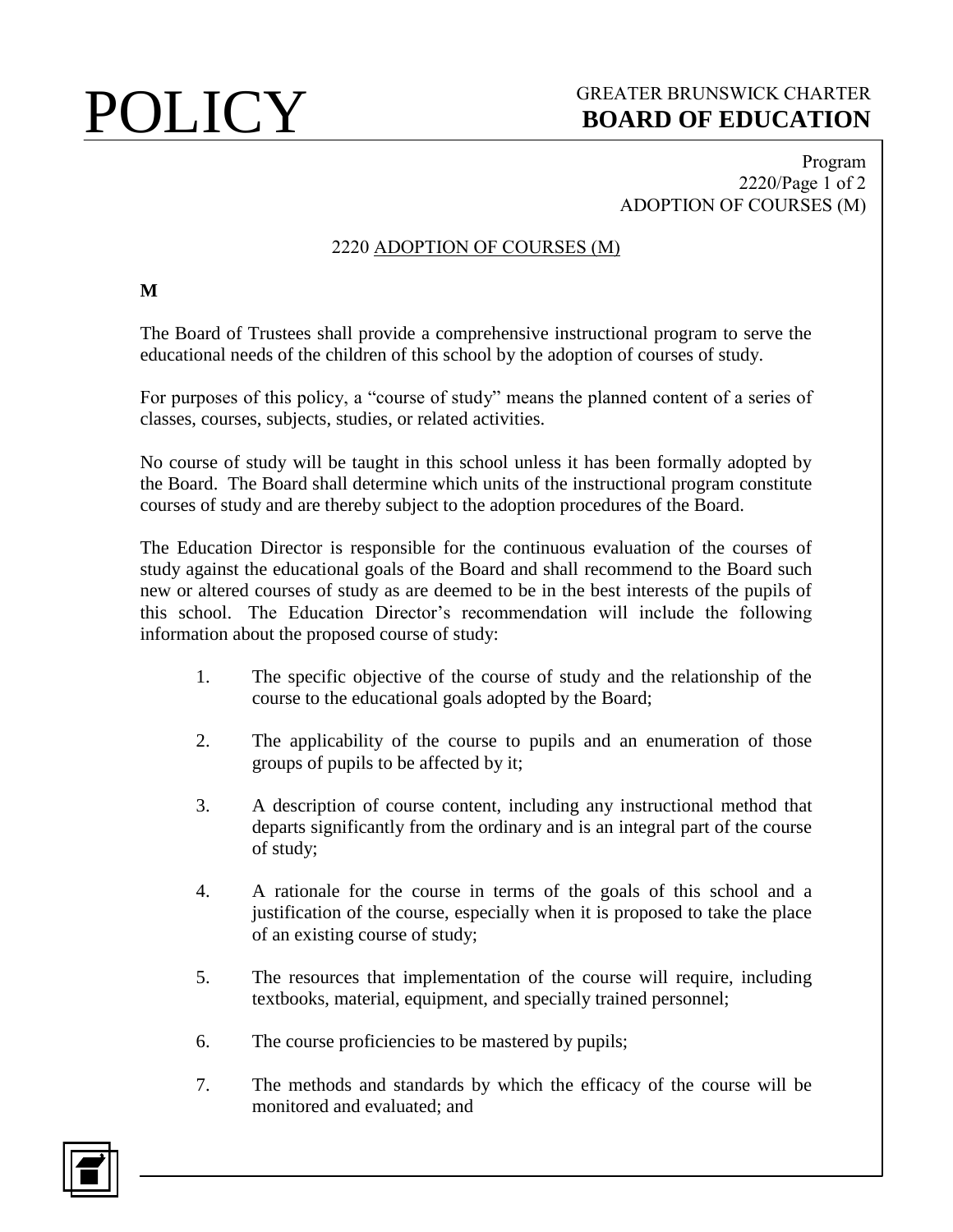# POLICY GREATER BRUNSWICK CHARTER<br>BOARD OF EDUCATION **BOARD OF EDUCATION**

## Program 2220/Page 1 of 2 ADOPTION OF COURSES (M)

## 2220 ADOPTION OF COURSES (M)

### **M**

The Board of Trustees shall provide a comprehensive instructional program to serve the educational needs of the children of this school by the adoption of courses of study.

For purposes of this policy, a "course of study" means the planned content of a series of classes, courses, subjects, studies, or related activities.

No course of study will be taught in this school unless it has been formally adopted by the Board. The Board shall determine which units of the instructional program constitute courses of study and are thereby subject to the adoption procedures of the Board.

The Education Director is responsible for the continuous evaluation of the courses of study against the educational goals of the Board and shall recommend to the Board such new or altered courses of study as are deemed to be in the best interests of the pupils of this school. The Education Director's recommendation will include the following information about the proposed course of study:

- 1. The specific objective of the course of study and the relationship of the course to the educational goals adopted by the Board;
- 2. The applicability of the course to pupils and an enumeration of those groups of pupils to be affected by it;
- 3. A description of course content, including any instructional method that departs significantly from the ordinary and is an integral part of the course of study;
- 4. A rationale for the course in terms of the goals of this school and a justification of the course, especially when it is proposed to take the place of an existing course of study;
- 5. The resources that implementation of the course will require, including textbooks, material, equipment, and specially trained personnel;
- 6. The course proficiencies to be mastered by pupils;
- 7. The methods and standards by which the efficacy of the course will be monitored and evaluated; and